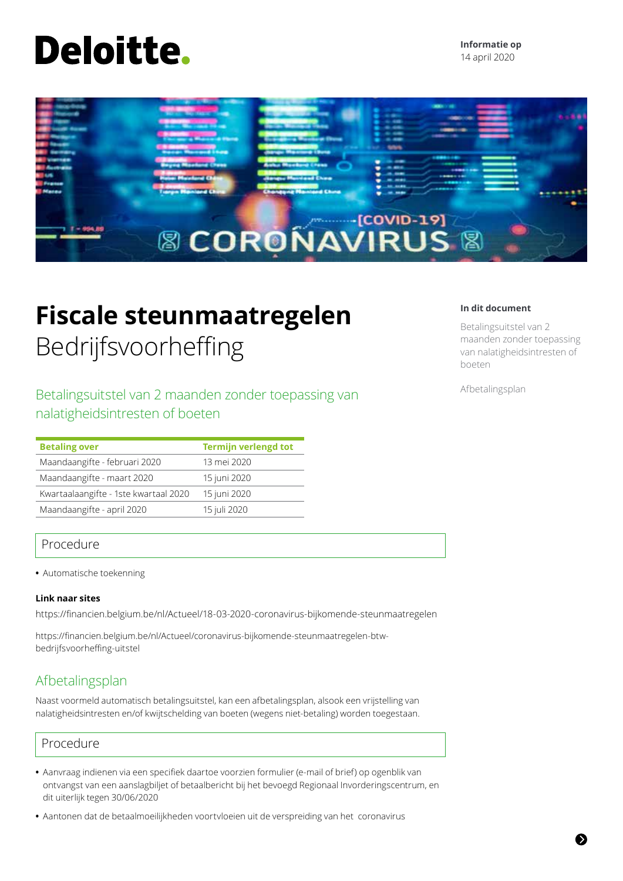# **Deloitte.**



# **Fiscale steunmaatregelen** Bedrijfsvoorheffing

Betalingsuitstel van 2 maanden zonder toepassing van nalatigheidsintresten of boeten

| <b>Betaling over</b>                  | <b>Termijn verlengd tot</b> |
|---------------------------------------|-----------------------------|
| Maandaangifte - februari 2020         | 13 mei 2020                 |
| Maandaangifte - maart 2020            | 15 juni 2020                |
| Kwartaalaangifte - 1ste kwartaal 2020 | 15 juni 2020                |
| Maandaangifte - april 2020            | 15 juli 2020                |

# Procedure

**•** Automatische toekenning

### **Link naar sites**

https://financien.belgium.be/nl/Actueel/18-03-2020-coronavirus-bijkomende-steunmaatregelen

https://financien.belgium.be/nl/Actueel/coronavirus-bijkomende-steunmaatregelen-btwbedrijfsvoorheffing-uitstel

# Afbetalingsplan

Naast voormeld automatisch betalingsuitstel, kan een afbetalingsplan, alsook een vrijstelling van nalatigheidsintresten en/of kwijtschelding van boeten (wegens niet-betaling) worden toegestaan.

# Procedure

- **•** Aanvraag indienen via een specifiek daartoe voorzien formulier (e-mail of brief) op ogenblik van ontvangst van een aanslagbiljet of betaalbericht bij het bevoegd Regionaal Invorderingscentrum, en dit uiterlijk tegen 30/06/2020
- **•** Aantonen dat de betaalmoeilijkheden voortvloeien uit de verspreiding van het coronavirus

### **In dit document**

Betalingsuitstel van 2 maanden zonder toepassing van nalatigheidsintresten of boeten

Afbetalingsplan